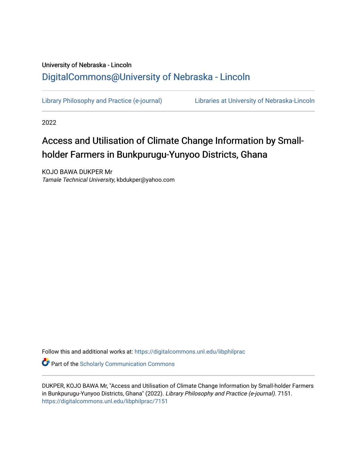# University of Nebraska - Lincoln [DigitalCommons@University of Nebraska - Lincoln](https://digitalcommons.unl.edu/)

[Library Philosophy and Practice \(e-journal\)](https://digitalcommons.unl.edu/libphilprac) [Libraries at University of Nebraska-Lincoln](https://digitalcommons.unl.edu/libraries) 

2022

# Access and Utilisation of Climate Change Information by Smallholder Farmers in Bunkpurugu-Yunyoo Districts, Ghana

KOJO BAWA DUKPER Mr Tamale Technical University, kbdukper@yahoo.com

Follow this and additional works at: [https://digitalcommons.unl.edu/libphilprac](https://digitalcommons.unl.edu/libphilprac?utm_source=digitalcommons.unl.edu%2Flibphilprac%2F7151&utm_medium=PDF&utm_campaign=PDFCoverPages) 

**C** Part of the Scholarly Communication Commons

DUKPER, KOJO BAWA Mr, "Access and Utilisation of Climate Change Information by Small-holder Farmers in Bunkpurugu-Yunyoo Districts, Ghana" (2022). Library Philosophy and Practice (e-journal). 7151. [https://digitalcommons.unl.edu/libphilprac/7151](https://digitalcommons.unl.edu/libphilprac/7151?utm_source=digitalcommons.unl.edu%2Flibphilprac%2F7151&utm_medium=PDF&utm_campaign=PDFCoverPages)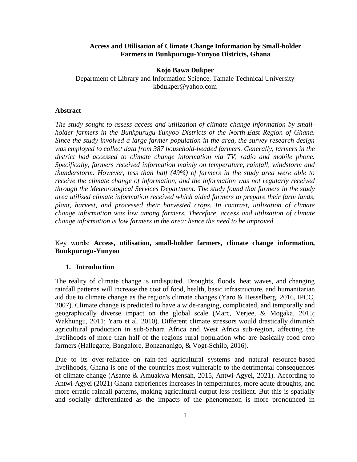# **Access and Utilisation of Climate Change Information by Small-holder Farmers in Bunkpurugu-Yunyoo Districts, Ghana**

### **Kojo Bawa Dukper**

Department of Library and Information Science, Tamale Technical University kbdukper@yahoo.com

# **Abstract**

*The study sought to assess access and utilization of climate change information by smallholder farmers in the Bunkpurugu-Yunyoo Districts of the North-East Region of Ghana. Since the study involved a large farmer population in the area, the survey research design was employed to collect data from 387 household-headed farmers. Generally, farmers in the district had accessed to climate change information via TV, radio and mobile phone. Specifically, farmers received information mainly on temperature, rainfall, windstorm and thunderstorm. However, less than half (49%) of farmers in the study area were able to receive the climate change of information, and the information was not regularly received through the Meteorological Services Department. The study found that farmers in the study area utilized climate information received which aided farmers to prepare their farm lands, plant, harvest, and processed their harvested crops. In contrast, utilization of climate change information was low among farmers. Therefore, access and utilization of climate change information is low farmers in the area; hence the need to be improved.* 

# Key words: **Access, utilisation, small-holder farmers, climate change information, Bunkpurugu-Yunyoo**

#### **1. Introduction**

The reality of climate change is undisputed. Droughts, floods, heat waves, and changing rainfall patterns will increase the cost of food, health, basic infrastructure, and humanitarian aid due to climate change as the region's climate changes (Yaro & Hesselberg, 2016, IPCC, 2007). Climate change is predicted to have a wide-ranging, complicated, and temporally and geographically diverse impact on the global scale (Marc, Verjee, & Mogaka, 2015; Wakhungu, 2011; Yaro et al. 2010). Different climate stressors would drastically diminish agricultural production in sub-Sahara Africa and West Africa sub-region, affecting the livelihoods of more than half of the regions rural population who are basically food crop farmers (Hallegatte, Bangalore, Bonzananigo, & Vogt-Schilb, 2016).

Due to its over-reliance on rain-fed agricultural systems and natural resource-based livelihoods, Ghana is one of the countries most vulnerable to the detrimental consequences of climate change (Asante & Amuakwa-Mensah, 2015, Antwi-Agyei, 2021). According to Antwi-Agyei (2021) Ghana experiences increases in temperatures, more acute droughts, and more erratic rainfall patterns, making agricultural output less resilient. But this is spatially and socially differentiated as the impacts of the phenomenon is more pronounced in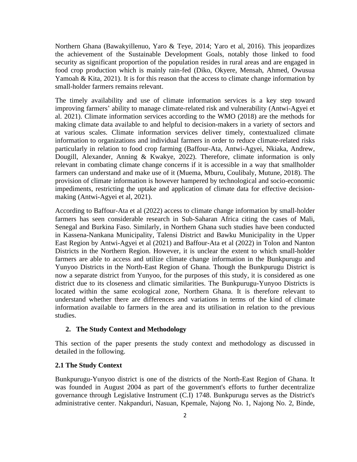Northern Ghana (Bawakyillenuo, Yaro & Teye, 2014; Yaro et al, 2016). This jeopardizes the achievement of the Sustainable Development Goals, notably those linked to food security as significant proportion of the population resides in rural areas and are engaged in food crop production which is mainly rain-fed (Diko, Okyere, Mensah, Ahmed, Owusua Yamoah & Kita, 2021). It is for this reason that the access to climate change information by small-holder farmers remains relevant.

The timely availability and use of climate information services is a key step toward improving farmers' ability to manage climate-related risk and vulnerability (Antwi-Agyei et al. 2021). Climate information services according to the WMO (2018) are the methods for making climate data available to and helpful to decision-makers in a variety of sectors and at various scales. Climate information services deliver timely, contextualized climate information to organizations and individual farmers in order to reduce climate-related risks particularly in relation to food crop farming (Baffour-Ata, Antwi-Agyei, Nkiaka, Andrew, Dougill, Alexander, Anning & Kwakye, 2022). Therefore, climate information is only relevant in combating climate change concerns if it is accessible in a way that smallholder farmers can understand and make use of it (Muema, Mburu, Coulibaly, Mutune, 2018). The provision of climate information is however hampered by technological and socio-economic impediments, restricting the uptake and application of climate data for effective decisionmaking (Antwi-Agyei et al, 2021).

According to Baffour-Ata et al (2022) access to climate change information by small-holder farmers has seen considerable research in Sub-Saharan Africa citing the cases of Mali, Senegal and Burkina Faso. Similarly, in Northern Ghana such studies have been conducted in Kassena-Nankana Municipality, Talensi District and Bawku Municipality in the Upper East Region by Antwi-Agyei et al (2021) and Baffour-Ata et al (2022) in Tolon and Nanton Districts in the Northern Region. However, it is unclear the extent to which small-holder farmers are able to access and utilize climate change information in the Bunkpurugu and Yunyoo Districts in the North-East Region of Ghana. Though the Bunkpurugu District is now a separate district from Yunyoo, for the purposes of this study, it is considered as one district due to its closeness and climatic similarities. The Bunkpurugu-Yunyoo Districts is located within the same ecological zone, Northern Ghana. It is therefore relevant to understand whether there are differences and variations in terms of the kind of climate information available to farmers in the area and its utilisation in relation to the previous studies.

#### **2. The Study Context and Methodology**

This section of the paper presents the study context and methodology as discussed in detailed in the following.

# **2.1 The Study Context**

Bunkpurugu-Yunyoo district is one of the districts of the North-East Region of Ghana. It was founded in August 2004 as part of the government's efforts to further decentralize governance through Legislative Instrument (C.I) 1748. Bunkpurugu serves as the District's administrative center. Nakpanduri, Nasuan, Kpemale, Najong No. 1, Najong No. 2, Binde,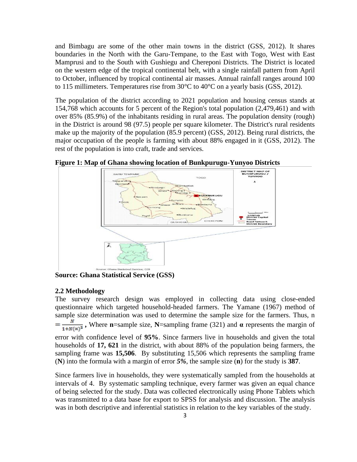and Bimbagu are some of the other main towns in the district (GSS, 2012). It shares boundaries in the North with the Garu-Tempane, to the East with Togo, West with East Mamprusi and to the South with Gushiegu and Chereponi Districts. The District is located on the western edge of the tropical continental belt, with a single rainfall pattern from April to October, influenced by tropical continental air masses. Annual rainfall ranges around 100 to 115 millimeters. Temperatures rise from 30°C to 40°C on a yearly basis (GSS, 2012).

The population of the district according to 2021 population and housing census stands at 154,768 which accounts for 5 percent of the Region's total population (2,479,461) and with over 85% (85.9%) of the inhabitants residing in rural areas. The population density (rough) in the District is around 98 (97.5) people per square kilometer. The District's rural residents make up the majority of the population (85.9 percent) (GSS, 2012). Being rural districts, the major occupation of the people is farming with about 88% engaged in it (GSS, 2012). The rest of the population is into craft, trade and services.



**Figure 1: Map of Ghana showing location of Bunkpurugu-Yunyoo Districts**

**Source: Ghana Statistical Service (GSS)**

#### **2.2 Methodology**

The survey research design was employed in collecting data using close-ended questionnaire which targeted household-headed farmers. The Yamane (1967) method of sample size determination was used to determine the sample size for the farmers. Thus, n  $=\frac{N}{1+N(\alpha)^2}$ , Where **n**=sample size, **N**=sampling frame (321) and **α** represents the margin of error with confidence level of **95%**. Since farmers live in households and given the total households of **17, 621** in the district, with about 88% of the population being farmers, the sampling frame was **15,506**. By substituting 15,506 which represents the sampling frame (**N**) into the formula with a margin of error *5%*, the sample size (**n**) for the study is **387**.

Since farmers live in households, they were systematically sampled from the households at intervals of 4. By systematic sampling technique, every farmer was given an equal chance of being selected for the study. Data was collected electronically using Phone Tablets which was transmitted to a data base for export to SPSS for analysis and discussion. The analysis was in both descriptive and inferential statistics in relation to the key variables of the study.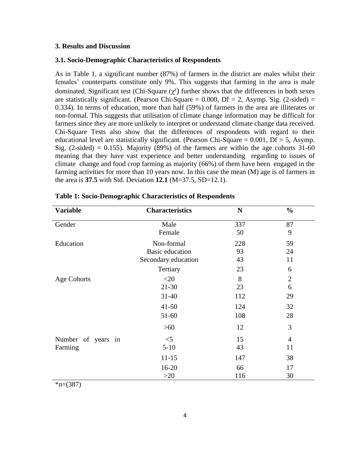# **3. Results and Discussion**

#### **3.1. Socio-Demographic Characteristics of Respondents**

As in Table 1, a significant number (87%) of farmers in the district are males whilst their females' counterparts constitute only 9%. This suggests that farming in the area is male dominated. Significant test (Chi-Square  $(\chi^2)$  further shows that the differences in both sexes are statistically significant. (Pearson Chi-Square  $= 0.000$ , Df  $= 2$ , Asymp. Sig. (2-sided)  $=$ 0.334). In terms of education, more than half (59%) of farmers in the area are illiterates or non-formal. This suggests that utilisation of climate change information may be difficult for farmers since they are more unlikely to interpret or understand climate change data received. Chi-Square Tests also show that the differences of respondents with regard to their educational level are statistically significant. (Pearson Chi-Square  $= 0.001$ , Df  $= 5$ , Asymp. Sig. (2-sided) = 0.155). Majority (89%) of the farmers are within the age cohorts  $31-60$ meaning that they have vast experience and better understanding regarding to issues of climate change and food crop farming as majority (66%) of them have been engaged in the farming activities for more than 10 years now. In this case the mean (M) age is of farmers in the area is **37.5** with Std. Deviation **12.1** (M=37.5, SD=12.1).

| <b>Variable</b>    | <b>Characteristics</b> | $\mathbf N$ | $\frac{0}{0}$  |
|--------------------|------------------------|-------------|----------------|
| Gender             | Male                   | 337         | 87             |
|                    | Female                 | 50          | 9              |
| Education          | Non-formal             | 228         | 59             |
|                    | <b>Basic education</b> | 93          | 24             |
|                    | Secondary education    | 43          | 11             |
|                    | Tertiary               | 23          | 6              |
| <b>Age Cohorts</b> | $<$ 20                 | 8           | $\overline{2}$ |
|                    | $21 - 30$              | 23          | 6              |
|                    | $31 - 40$              | 112         | 29             |
|                    | $41 - 50$              | 124         | 32             |
|                    | 51-60                  | 108         | 28             |
|                    | $>60$                  | 12          | 3              |
| Number of years in | $<$ 5                  | 15          | $\overline{4}$ |
| Farming            | $5-10$                 | 43          | 11             |
|                    | $11 - 15$              | 147         | 38             |
|                    | $16 - 20$              | 66          | 17             |
|                    | $>20$                  | 116         | 30             |

| <b>Table 1: Socio-Demographic Characteristics of Respondents</b> |  |  |
|------------------------------------------------------------------|--|--|
|------------------------------------------------------------------|--|--|

 $*n=(387)$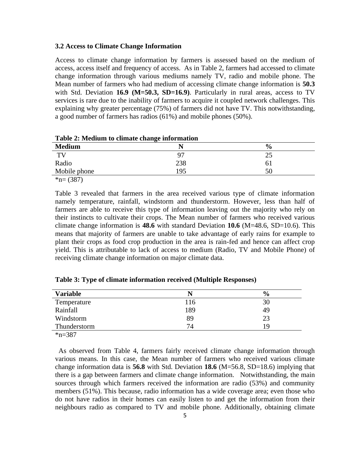#### **3.2 Access to Climate Change Information**

Access to climate change information by farmers is assessed based on the medium of access, access itself and frequency of access. As in Table 2, farmers had accessed to climate change information through various mediums namely TV, radio and mobile phone. The Mean number of farmers who had medium of accessing climate change information is **50.3** with Std. Deviation **16.9 (M=50.3, SD=16.9)**. Particularly in rural areas, access to TV services is rare due to the inability of farmers to acquire it coupled network challenges. This explaining why greater percentage (75%) of farmers did not have TV. This notwithstanding, a good number of farmers has radios (61%) and mobile phones (50%).

**Table 2: Medium to climate change information**

| <b>Medium</b> | N   | $\frac{6}{9}$ |
|---------------|-----|---------------|
| <b>TV</b>     | 97  | ں کے          |
| Radio         | 238 | 61            |
| Mobile phone  | 195 | 50            |
| $\star$ (207) |     |               |

 $\text{*}n=(387)$ 

Table 3 revealed that farmers in the area received various type of climate information namely temperature, rainfall, windstorm and thunderstorm. However, less than half of farmers are able to receive this type of information leaving out the majority who rely on their instincts to cultivate their crops. The Mean number of farmers who received various climate change information is **48.6** with standard Deviation **10.6** (M=48.6, SD=10.6). This means that majority of farmers are unable to take advantage of early rains for example to plant their crops as food crop production in the area is rain-fed and hence can affect crop yield. This is attributable to lack of access to medium (Radio, TV and Mobile Phone) of receiving climate change information on major climate data.

| <b>Variable</b> |     | $\frac{6}{9}$ |
|-----------------|-----|---------------|
| Temperature     | 116 | 30            |
| Rainfall        | 189 | 49            |
| Windstorm       | 89  | 23            |
| Thunderstorm    | 74  | 1 Q           |

**Table 3: Type of climate information received (Multiple Responses)**

 $\bar{x}_{n=387}$ 

 As observed from Table 4, farmers fairly received climate change information through various means. In this case, the Mean number of farmers who received various climate change information data is **56.8** with Std. Deviation **18.6** (M=56.8, SD=18.6) implying that there is a gap between farmers and climate change information. Notwithstanding, the main sources through which farmers received the information are radio (53%) and community members (51%). This because, radio information has a wide coverage area; even those who do not have radios in their homes can easily listen to and get the information from their neighbours radio as compared to TV and mobile phone. Additionally, obtaining climate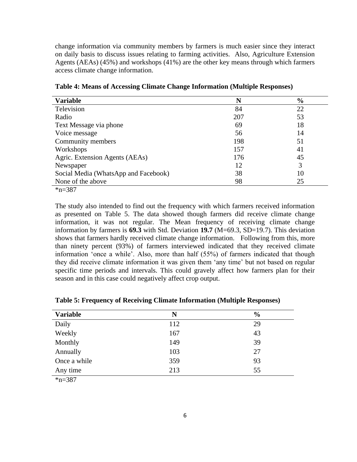change information via community members by farmers is much easier since they interact on daily basis to discuss issues relating to farming activities. Also, Agriculture Extension Agents (AEAs) (45%) and workshops (41%) are the other key means through which farmers access climate change information.

| <b>Variable</b>                      | N   | $\frac{6}{6}$ |
|--------------------------------------|-----|---------------|
| Television                           | 84  | 22            |
| Radio                                | 207 | 53            |
| Text Message via phone               | 69  | 18            |
| Voice message                        | 56  | 14            |
| Community members                    | 198 | 51            |
| Workshops                            | 157 | 41            |
| Agric. Extension Agents (AEAs)       | 176 | 45            |
| Newspaper                            | 12  |               |
| Social Media (WhatsApp and Facebook) | 38  | 10            |
| None of the above                    | 98  | 25            |
| $\mathbf{a}$ $\mathbf{a}$            |     |               |

**Table 4: Means of Accessing Climate Change Information (Multiple Responses)**

 $*n=387$ 

The study also intended to find out the frequency with which farmers received information as presented on Table 5. The data showed though farmers did receive climate change information, it was not regular. The Mean frequency of receiving climate change information by farmers is **69.3** with Std. Deviation **19.7** (M=69.3, SD=19.7). This deviation shows that farmers hardly received climate change information. Following from this, more than ninety percent (93%) of farmers interviewed indicated that they received climate information 'once a while'. Also, more than half (55%) of farmers indicated that though they did receive climate information it was given them 'any time' but not based on regular specific time periods and intervals. This could gravely affect how farmers plan for their season and in this case could negatively affect crop output.

| <b>Variable</b> | N   | $\frac{0}{0}$ |
|-----------------|-----|---------------|
| Daily           | 112 | 29            |
| Weekly          | 167 | 43            |
| Monthly         | 149 | 39            |
| Annually        | 103 | 27            |
| Once a while    | 359 | 93            |
| Any time        | 213 | 55            |
| $*_{n=387}$     |     |               |

**Table 5: Frequency of Receiving Climate Information (Multiple Responses)**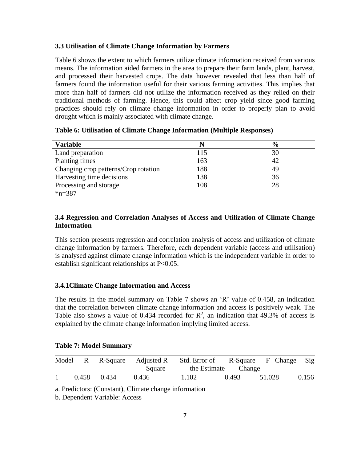# **3.3 Utilisation of Climate Change Information by Farmers**

Table 6 shows the extent to which farmers utilize climate information received from various means. The information aided farmers in the area to prepare their farm lands, plant, harvest, and processed their harvested crops. The data however revealed that less than half of farmers found the information useful for their various farming activities. This implies that more than half of farmers did not utilize the information received as they relied on their traditional methods of farming. Hence, this could affect crop yield since good farming practices should rely on climate change information in order to properly plan to avoid drought which is mainly associated with climate change.

|  |  |  | Table 6: Utilisation of Climate Change Information (Multiple Responses) |  |  |
|--|--|--|-------------------------------------------------------------------------|--|--|
|  |  |  |                                                                         |  |  |

| <b>Variable</b>                      |     | $\frac{6}{9}$ |
|--------------------------------------|-----|---------------|
| Land preparation                     | 115 | 30            |
| Planting times                       | 163 | 42            |
| Changing crop patterns/Crop rotation | 188 | 49            |
| Harvesting time decisions            | 138 | 36            |
| Processing and storage               | 108 | 28            |
| 4.007                                |     |               |

\*n=387

# **3.4 Regression and Correlation Analyses of Access and Utilization of Climate Change Information**

This section presents regression and correlation analysis of access and utilization of climate change information by farmers. Therefore, each dependent variable (access and utilisation) is analysed against climate change information which is the independent variable in order to establish significant relationships at P<0.05.

# **3.4.1Climate Change Information and Access**

The results in the model summary on Table 7 shows an 'R' value of 0.458, an indication that the correlation between climate change information and access is positively weak. The Table also shows a value of 0.434 recorded for  $R^2$ , an indication that 49.3% of access is explained by the climate change information implying limited access.

|  |  |  | <b>Table 7: Model Summary</b> |
|--|--|--|-------------------------------|
|--|--|--|-------------------------------|

|  |             | Square | Model R R-Square Adjusted R Std. Error of R-Square F Change Sig | the Estimate Change |        |       |
|--|-------------|--------|-----------------------------------------------------------------|---------------------|--------|-------|
|  | 0.458 0.434 | 0.436  | 1.102                                                           | 0.493               | 51.028 | 0.156 |

a. Predictors: (Constant), Climate change information

b. Dependent Variable: Access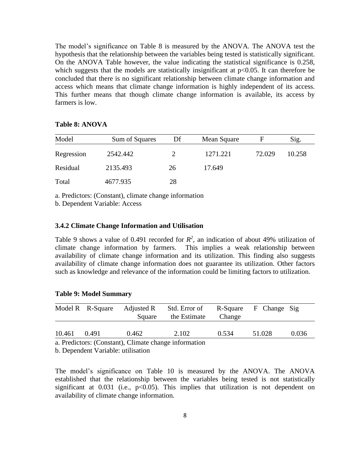The model's significance on Table 8 is measured by the ANOVA. The ANOVA test the hypothesis that the relationship between the variables being tested is statistically significant. On the ANOVA Table however, the value indicating the statistical significance is 0.258, which suggests that the models are statistically insignificant at  $p<0.05$ . It can therefore be concluded that there is no significant relationship between climate change information and access which means that climate change information is highly independent of its access. This further means that though climate change information is available, its access by farmers is low.

# **Table 8: ANOVA**

| Model      | Sum of Squares | Df | Mean Square | F      | Sig.   |
|------------|----------------|----|-------------|--------|--------|
| Regression | 2542.442       |    | 1271.221    | 72.029 | 10.258 |
| Residual   | 2135.493       | 26 | 17.649      |        |        |
| Total      | 4677.935       | 28 |             |        |        |

a. Predictors: (Constant), climate change information

b. Dependent Variable: Access

# **3.4.2 Climate Change Information and Utilisation**

Table 9 shows a value of 0.491 recorded for  $R^2$ , an indication of about 49% utilization of climate change information by farmers. This implies a weak relationship between availability of climate change information and its utilization. This finding also suggests availability of climate change information does not guarantee its utilization. Other factors such as knowledge and relevance of the information could be limiting factors to utilization.

|  |  |  | <b>Table 9: Model Summary</b> |
|--|--|--|-------------------------------|
|--|--|--|-------------------------------|

|                                                       | Model R R-Square | Adjusted R<br>Square | Std. Error of<br>the Estimate | Change | R-Square F Change Sig |       |  |  |
|-------------------------------------------------------|------------------|----------------------|-------------------------------|--------|-----------------------|-------|--|--|
| 10.461                                                | 0.491            | 0.462                | 2.102                         | 0.534  | 51.028                | 0.036 |  |  |
| a. Predictors: (Constant), Climate change information |                  |                      |                               |        |                       |       |  |  |

b. Dependent Variable: utilisation

The model's significance on Table 10 is measured by the ANOVA. The ANOVA established that the relationship between the variables being tested is not statistically significant at  $0.031$  (i.e.,  $p<0.05$ ). This implies that utilization is not dependent on availability of climate change information.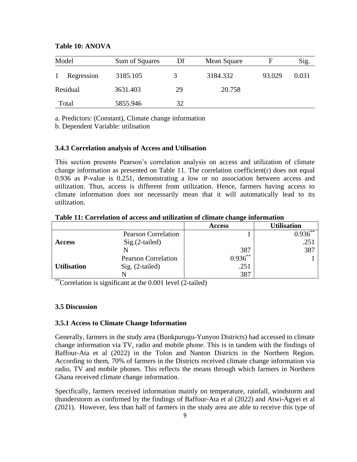| Model      | Sum of Squares | Df | Mean Square | н      | Sig.  |
|------------|----------------|----|-------------|--------|-------|
| Regression | 3185.105       |    | 3184.332    | 93.029 | 0.031 |
| Residual   | 3631.403       | 29 | 20.758      |        |       |
| Total      | 5855.946       | 32 |             |        |       |

## **Table 10: ANOVA**

a. Predictors: (Constant), Climate change information

b. Dependent Variable: utilisation

# **3.4.3 Correlation analysis of Access and Utilisation**

This section presents Pearson's correlation analysis on access and utilization of climate change information as presented on Table 11. The correlation coefficient( $r$ ) does not equal 0.936 as P-value is 0.251, demonstrating a low or no association between access and utilization. Thus, access is different from utilization. Hence, farmers having access to climate information does not necessarily mean that it will automatically lead to its utilization.

|                    |                            | <b>Access</b> | <b>Utilisation</b> |
|--------------------|----------------------------|---------------|--------------------|
|                    | <b>Pearson Correlation</b> |               | $0.936***$         |
| <b>Access</b>      | $Sig.(2-tailed)$           |               | .251               |
|                    |                            | 387           | 387                |
|                    | <b>Pearson Correlation</b> | $0.936***$    |                    |
| <b>Utilisation</b> | $Sig. (2-tailed)$          | .251          |                    |
|                    |                            | 387           |                    |

**Table 11: Correlation of access and utilization of climate change information**

\*\*Correlation is significant at the 0.001 level (2-tailed)

#### **3.5 Discussion**

#### **3.5.1 Access to Climate Change Information**

Generally, farmers in the study area (Bunkpurugu-Yunyoo Districts) had accessed to climate change information via TV, radio and mobile phone. This is in tandem with the findings of Baffour-Ata et al (2022) in the Tolon and Nanton Districts in the Northern Region. According to them, 70% of farmers in the Districts received climate change information via radio, TV and mobile phones. This reflects the means through which farmers in Northern Ghana received climate change information.

Specifically, farmers received information mainly on temperature, rainfall, windstorm and thunderstorm as confirmed by the findings of Baffour-Ata et al (2022) and Atwi-Agyei et al (2021). However, less than half of farmers in the study area are able to receive this type of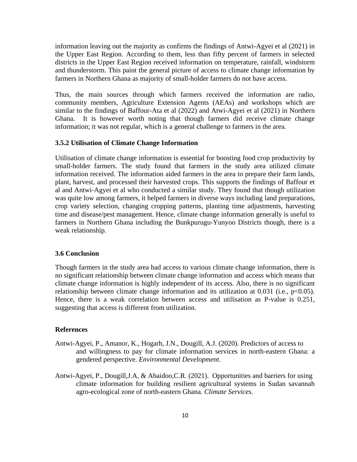information leaving out the majority as confirms the findings of Antwi-Agyei et al (2021) in the Upper East Region. According to them, less than fifty percent of farmers in selected districts in the Upper East Region received information on temperature, rainfall, windstorm and thunderstorm. This paint the general picture of access to climate change information by farmers in Northern Ghana as majority of small-holder farmers do not have access.

Thus, the main sources through which farmers received the information are radio, community members, Agriculture Extension Agents (AEAs) and workshops which are similar to the findings of Baffour-Ata et al (2022) and Atwi-Agyei et al (2021) in Northern Ghana. It is however worth noting that though farmers did receive climate change information; it was not regular, which is a general challenge to farmers in the area.

# **3.5.2 Utilisation of Climate Change Information**

Utilisation of climate change information is essential for boosting food crop productivity by small-holder farmers. The study found that farmers in the study area utilized climate information received. The information aided farmers in the area to prepare their farm lands, plant, harvest, and processed their harvested crops. This supports the findings of Baffour et al and Antwi-Agyei et al who conducted a similar study. They found that though utilization was quite low among farmers, it helped farmers in diverse ways including land preparations, crop variety selection, changing cropping patterns, planting time adjustments, harvesting time and disease/pest management. Hence, climate change information generally is useful to farmers in Northern Ghana including the Bunkpurugu-Yunyoo Districts though, there is a weak relationship.

# **3.6 Conclusion**

Though farmers in the study area had access to various climate change information, there is no significant relationship between climate change information and access which means that climate change information is highly independent of its access. Also, there is no significant relationship between climate change information and its utilization at 0.031 (i.e.,  $p<0.05$ ). Hence, there is a weak correlation between access and utilisation as P-value is 0.251, suggesting that access is different from utilization.

#### **References**

- Antwi-Agyei, P., Amanor, K., Hogarh, J.N., Dougill, A.J. (2020). Predictors of access to and willingness to pay for climate information services in north-eastern Ghana: a gendered perspective. *Environmental Development.*
- Antwi-Agyei, P., Dougill,J.A, & Abaidoo,C.R. (2021). Opportunities and barriers for using climate information for building resilient agricultural systems in Sudan savannah agro-ecological zone of north-eastern Ghana. *Climate Services*.